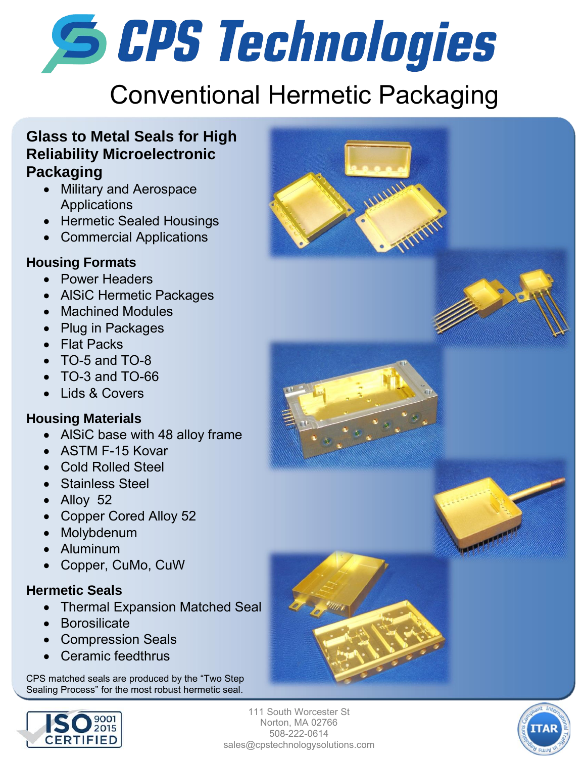# **S CPS Technologies**

# Conventional Hermetic Packaging

#### **Glass to Metal Seals for High Reliability Microelectronic Packaging**

- Military and Aerospace Applications
- Hermetic Sealed Housings
- Commercial Applications

#### **Housing Formats**

- Power Headers
- AlSiC Hermetic Packages
- Machined Modules
- Plug in Packages
- Flat Packs
- TO-5 and TO-8
- $\bullet$  TO-3 and TO-66
- Lids & Covers

#### **Housing Materials**

- AlSiC base with 48 alloy frame
- ASTM F-15 Kovar
- Cold Rolled Steel
- Stainless Steel
- Alloy 52
- Copper Cored Alloy 52
- Molvbdenum
- Aluminum
- Copper, CuMo, CuW

#### **Hermetic Seals**

- Thermal Expansion Matched Seal
- Borosilicate
- Compression Seals
- Ceramic feedthrus

CPS matched seals are produced by the "Two Step Sealing Process" for the most robust hermetic seal.



111 South Worcester St Norton, MA 02766 508-222-0614 sales@cpstechnologysolutions.com